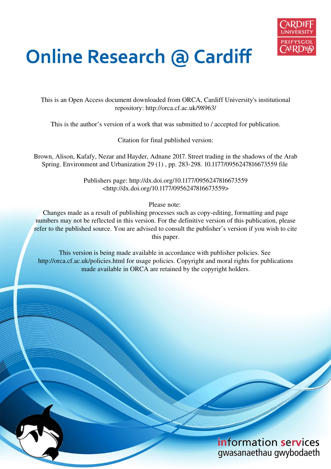

# **Online Research @ Cardiff**

This is an Open Access document downloaded from ORCA, Cardiff University's institutional repository: http://orca.cf.ac.uk/98963/

This is the author's version of a work that was submitted to / accepted for publication.

Citation for final published version:

Brown, Alison, Kafafy, Nezar and Hayder, Adnane 2017. Street trading in the shadows of the Arab Spring. Environment and Urbanization 29 (1) , pp. 283-298. 10.1177/0956247816673559 file

> Publishers page: http://dx.doi.org/10.1177/0956247816673559 <http://dx.doi.org/10.1177/0956247816673559>

> > Please note:

Changes made as a result of publishing processes such as copy-editing, formatting and page numbers may not be reflected in this version. For the definitive version of this publication, please refer to the published source. You are advised to consult the publisher's version if you wish to cite this paper.

This version is being made available in accordance with publisher policies. See http://orca.cf.ac.uk/policies.html for usage policies. Copyright and moral rights for publications made available in ORCA are retained by the copyright holders.

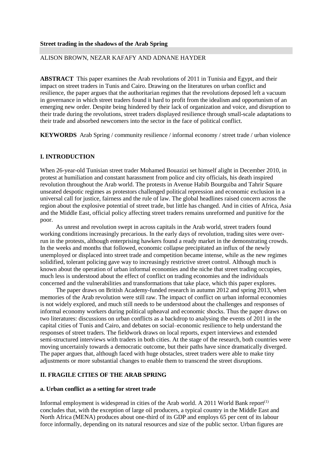#### **Street trading in the shadows of the Arab Spring**

# ALISON BROWN, NEZAR KAFAFY AND ADNANE HAYDER

**ABSTRACT** This paper examines the Arab revolutions of 2011 in Tunisia and Egypt, and their impact on street traders in Tunis and Cairo. Drawing on the literatures on urban conflict and resilience, the paper argues that the authoritarian regimes that the revolutions deposed left a vacuum in governance in which street traders found it hard to profit from the idealism and opportunism of an emerging new order. Despite being hindered by their lack of organization and voice, and disruption to their trade during the revolutions, street traders displayed resilience through small-scale adaptations to their trade and absorbed newcomers into the sector in the face of political conflict.

**KEYWORDS** Arab Spring / community resilience / informal economy / street trade / urban violence

# **I. INTRODUCTION**

When 26-year-old Tunisian street trader Mohamed Bouazizi set himself alight in December 2010, in protest at humiliation and constant harassment from police and city officials, his death inspired revolution throughout the Arab world. The protests in Avenue Habib Bourguiba and Tahrir Square unseated despotic regimes as protestors challenged political repression and economic exclusion in a universal call for justice, fairness and the rule of law. The global headlines raised concern across the region about the explosive potential of street trade, but little has changed. And in cities of Africa, Asia and the Middle East, official policy affecting street traders remains unreformed and punitive for the poor.

As unrest and revolution swept in across capitals in the Arab world, street traders found working conditions increasingly precarious. In the early days of revolution, trading sites were overrun in the protests, although enterprising hawkers found a ready market in the demonstrating crowds. In the weeks and months that followed, economic collapse precipitated an influx of the newly unemployed or displaced into street trade and competition became intense, while as the new regimes solidified, tolerant policing gave way to increasingly restrictive street control. Although much is known about the operation of urban informal economies and the niche that street trading occupies, much less is understood about the effect of conflict on trading economies and the individuals concerned and the vulnerabilities and transformations that take place, which this paper explores.

The paper draws on British Academy-funded research in autumn 2012 and spring 2013, when memories of the Arab revolution were still raw. The impact of conflict on urban informal economies is not widely explored, and much still needs to be understood about the challenges and responses of informal economy workers during political upheaval and economic shocks. Thus the paper draws on two literatures: discussions on urban conflicts as a backdrop to analysing the events of 2011 in the capital cities of Tunis and Cairo, and debates on social–economic resilience to help understand the responses of street traders. The fieldwork draws on local reports, expert interviews and extended semi-structured interviews with traders in both cities. At the stage of the research, both countries were moving uncertainly towards a democratic outcome, but their paths have since dramatically diverged. The paper argues that, although faced with huge obstacles, street traders were able to make tiny adjustments or more substantial changes to enable them to transcend the street disruptions.

# **II. FRAGILE CITIES OF THE ARAB SPRING**

#### **a. Urban conflict as a setting for street trade**

Informal employment is widespread in cities of the Arab world. A 2011 World Bank report<sup>(1)</sup> concludes that, with the exception of large oil producers, a typical country in the Middle East and North Africa (MENA) produces about one-third of its GDP and employs 65 per cent of its labour force informally, depending on its natural resources and size of the public sector. Urban figures are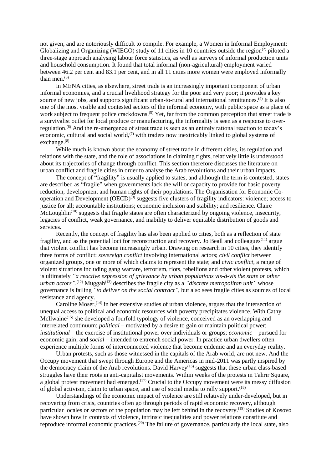not given, and are notoriously difficult to compile. For example, a Women in Informal Employment: Globalizing and Organizing (WIEGO) study of 11 cities in 10 countries outside the region<sup>(2)</sup> piloted a three-stage approach analysing labour force statistics, as well as surveys of informal production units and household consumption. It found that total informal (non-agricultural) employment varied between 46.2 per cent and 83.1 per cent, and in all 11 cities more women were employed informally than men. $^{(3)}$ 

In MENA cities, as elsewhere, street trade is an increasingly important component of urban informal economies, and a crucial livelihood strategy for the poor and very poor; it provides a key source of new jobs, and supports significant urban-to-rural and international remittances.<sup>(4)</sup> It is also one of the most visible and contested sectors of the informal economy, with public space as a place of work subject to frequent police crackdowns.<sup>(5)</sup> Yet, far from the common perception that street trade is a survivalist outlet for local produce or manufacturing, the informality is seen as a response to overregulation.<sup>(6)</sup> And the re-emergence of street trade is seen as an entirely rational reaction to today's economic, cultural and social world,<sup> $(7)$ </sup> with traders now inextricably linked to global systems of exchange.<sup>(8)</sup>

While much is known about the economy of street trade in different cities, its regulation and relations with the state, and the role of associations in claiming rights, relatively little is understood about its trajectories of change through conflict. This section therefore discusses the literature on urban conflict and fragile cities in order to analyse the Arab revolutions and their urban impacts.

The concept of "fragility" is usually applied to states, and although the term is contested, states are described as "fragile" when governments lack the will or capacity to provide for basic poverty reduction, development and human rights of their populations. The Organisation for Economic Cooperation and Development (OECD)(9) suggests five clusters of fragility indicators: violence; access to justice for all; accountable institutions; economic inclusion and stability; and resilience. Claire  $Mcloughlin<sup>(10)</sup> suggests that fragile states are often characterized by ongoing violence, insecurity,$ legacies of conflict, weak governance, and inability to deliver equitable distribution of goods and services.

Recently, the concept of fragility has also been applied to cities, both as a reflection of state fragility, and as the potential loci for reconstruction and recovery. Jo Beall and colleagues<sup> $(11)$ </sup> argue that violent conflict has become increasingly urban. Drawing on research in 10 cities, they identify three forms of conflict: *sovereign conflict* involving international actors; *civil conflict* between organized groups, one or more of which claims to represent the state; and *civic conflict*, a range of violent situations including gang warfare, terrorism, riots, rebellions and other violent protests, which is ultimately *"a reactive expression of grievance by urban populations vis-à-vis the state or other urban actors"*. (12) Muggah(13) describes the fragile city as a *"discrete metropolitan unit"* whose governance is failing *"to deliver on the social contract"*, but also sees fragile cities as sources of local resistance and agency.

Caroline Moser,  $(14)$  in her extensive studies of urban violence, argues that the intersection of unequal access to political and economic resources with poverty precipitates violence. With Cathy McIlwaine<sup>(15)</sup> she developed a fourfold typology of violence, conceived as an overlapping and interrelated continuum: *political* – motivated by a desire to gain or maintain political power; *institutional –* the exercise of institutional power over individuals or groups; *economic* – pursued for economic gain; and *social* – intended to entrench social power. In practice urban dwellers often experience multiple forms of interconnected violence that become endemic and an everyday reality.

Urban protests, such as those witnessed in the capitals of the Arab world, are not new. And the Occupy movement that swept through Europe and the Americas in mid-2011 was partly inspired by the democracy claim of the Arab revolutions. David Harvey<sup>(16)</sup> suggests that these urban class-based struggles have their roots in anti-capitalist movements. Within weeks of the protests in Tahrir Square, a global protest movement had emerged.<sup> $(17)$ </sup> Crucial to the Occupy movement were its messy diffusion of global activism, claim to urban space, and use of social media to rally support.<sup>(18)</sup>

Understandings of the economic impact of violence are still relatively under-developed, but in recovering from crisis, countries often go through periods of rapid economic recovery, although particular locales or sectors of the population may be left behind in the recovery.(19) Studies of Kosovo have shown how in contexts of violence, intrinsic inequalities and power relations constitute and reproduce informal economic practices.(20) The failure of governance, particularly the local state, also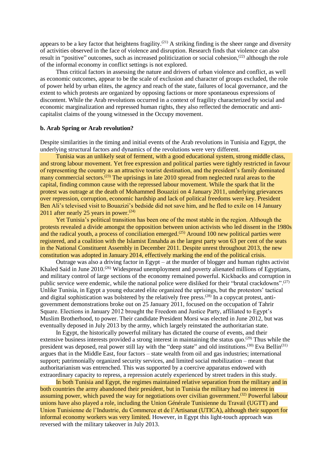appears to be a key factor that heightens fragility.<sup>(21)</sup> A striking finding is the sheer range and diversity of activities observed in the face of violence and disruption. Research finds that violence can also result in "positive" outcomes, such as increased politicization or social cohesion,(22) although the role of the informal economy in conflict settings is not explored.

Thus critical factors in assessing the nature and drivers of urban violence and conflict, as well as economic outcomes, appear to be the scale of exclusion and character of groups excluded, the role of power held by urban elites, the agency and reach of the state, failures of local governance, and the extent to which protests are organized by opposing factions or more spontaneous expressions of discontent. While the Arab revolutions occurred in a context of fragility characterized by social and economic marginalization and repressed human rights, they also reflected the democratic and anticapitalist claims of the young witnessed in the Occupy movement.

#### **b. Arab Spring or Arab revolution?**

Despite similarities in the timing and initial events of the Arab revolutions in Tunisia and Egypt, the underlying structural factors and dynamics of the revolutions were very different.

Tunisia was an unlikely seat of ferment, with a good educational system, strong middle class, and strong labour movement. Yet free expression and political parties were tightly restricted in favour of representing the country as an attractive tourist destination, and the president's family dominated many commercial sectors.<sup>(23)</sup> The uprisings in late 2010 spread from neglected rural areas to the capital, finding common cause with the repressed labour movement. While the spark that lit the protest was outrage at the death of Mohammed Bouazizi on 4 January 2011, underlying grievances over repression, corruption, economic hardship and lack of political freedoms were key. President Ben Ali's televised visit to Bouazizi's bedside did not save him, and he fled to exile on 14 January 2011 after nearly 25 years in power.<sup> $(24)$ </sup>

Yet Tunisia's political transition has been one of the most stable in the region. Although the protests revealed a divide amongst the opposition between union activists who led dissent in the 1980s and the radical youth, a process of conciliation emerged.<sup> $(25)$ </sup> Around 100 new political parties were registered, and a coalition with the Islamist Ennahda as the largest party won 63 per cent of the seats in the National Constituent Assembly in December 2011. Despite unrest throughout 2013, the new constitution was adopted in January 2014, effectively marking the end of the political crisis.

Outrage was also a driving factor in Egypt – at the murder of blogger and human rights activist Khaled Said in June 2010.<sup>(26)</sup> Widespread unemployment and poverty alienated millions of Egyptians, and military control of large sections of the economy remained powerful. Kickbacks and corruption in public service were endemic, while the national police were disliked for their "brutal crackdowns".(27) Unlike Tunisia, in Egypt a young educated elite organized the uprisings, but the protestors' tactical and digital sophistication was bolstered by the relatively free press.<sup>(28)</sup> In a copycat protest, antigovernment demonstrations broke out on 25 January 2011, focused on the occupation of Tahrir Square. Elections in January 2012 brought the Freedom and Justice Party, affiliated to Egypt's Muslim Brotherhood, to power. Their candidate President Morsi was elected in June 2012, but was eventually deposed in July 2013 by the army, which largely reinstated the authoritarian state.

In Egypt, the historically powerful military has dictated the course of events, and their extensive business interests provided a strong interest in maintaining the status quo.<sup>(29)</sup> Thus while the president was deposed, real power still lay with the "deep state" and old institutions.<sup>(30)</sup> Eva Bellin<sup>(31)</sup> argues that in the Middle East, four factors – state wealth from oil and gas industries; international support; patrimonially organized security services, and limited social mobilization – meant that authoritarianism was entrenched. This was supported by a coercive apparatus endowed with extraordinary capacity to repress, a repression acutely experienced by street traders in this study.

In both Tunisia and Egypt, the regimes maintained relative separation from the military and in both countries the army abandoned their president, but in Tunisia the military had no interest in assuming power, which paved the way for negotiations over civilian government.<sup>(32)</sup> Powerful labour unions have also played a role, including the Union Générale Tunisienne du Travail (UGTT) and Union Tunisienne de l'Industrie, du Commerce et de l'Artisanat (UTICA), although their support for informal economy workers was very limited. However, in Egypt this light-touch approach was reversed with the military takeover in July 2013.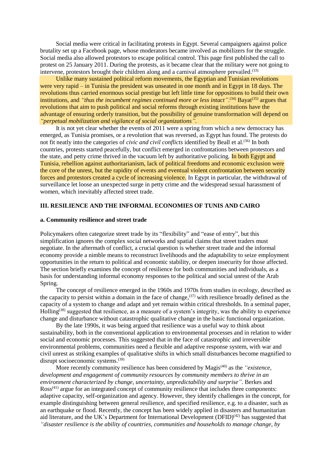Social media were critical in facilitating protests in Egypt. Several campaigners against police brutality set up a Facebook page, whose moderators became involved as mobilizers for the struggle. Social media also allowed protestors to escape political control. This page first published the call to protest on 25 January 2011. During the protests, as it became clear that the military were not going to intervene, protestors brought their children along and a carnival atmosphere prevailed.<sup>(33)</sup>

Unlike many sustained political reform movements, the Egyptian and Tunisian revolutions were very rapid – in Tunisia the president was unseated in one month and in Egypt in 18 days. The revolutions thus carried enormous social prestige but left little time for oppositions to build their own institutions, and *"thus the incumbent regimes continued more or less intact".<sup>(34)</sup> Bayat<sup>(35)</sup> argues that* revolutions that aim to push political and social reforms through existing institutions have the advantage of ensuring orderly transition, but the possibility of genuine transformation will depend on *"perpetual mobilization and vigilance of social organizations"*.

It is not yet clear whether the events of 2011 were a spring from which a new democracy has emerged, as Tunisia promises, or a revolution that was reversed, as Egypt has found. The protests do not fit neatly into the categories of *civic and civil conflicts* identified by Beall et al.(36) In both countries, protests started peacefully, but conflict emerged in confrontations between protestors and the state, and petty crime thrived in the vacuum left by authoritative policing. In both Egypt and Tunisia, rebellion against authoritarianism, lack of political freedoms and economic exclusion were the core of the unrest, but the rapidity of events and eventual violent confrontation between security forces and protestors created a cycle of increasing violence. In Egypt in particular, the withdrawal of surveillance let loose an unexpected surge in petty crime and the widespread sexual harassment of women, which inevitably affected street trade.

# **III. RESILIENCE AND THE INFORMAL ECONOMIES OF TUNIS AND CAIRO**

#### **a. Community resilience and street trade**

Policymakers often categorize street trade by its "flexibility" and "ease of entry", but this simplification ignores the complex social networks and spatial claims that street traders must negotiate. In the aftermath of conflict, a crucial question is whether street trade and the informal economy provide a nimble means to reconstruct livelihoods and the adaptability to seize employment opportunities in the return to political and economic stability, or deepen insecurity for those affected. The section briefly examines the concept of resilience for both communities and individuals, as a basis for understanding informal economy responses to the political and social unrest of the Arab Spring.

The concept of resilience emerged in the 1960s and 1970s from studies in ecology, described as the capacity to persist within a domain in the face of change,<sup> $(37)$ </sup> with resilience broadly defined as the capacity of a system to change and adapt and yet remain within critical thresholds. In a seminal paper, Holling<sup>(38)</sup> suggested that resilience, as a measure of a system's integrity, was the ability to experience change and disturbance without catastrophic qualitative change in the basic functional organization.

By the late 1990s, it was being argued that resilience was a useful way to think about sustainability, both in the conventional application to environmental processes and in relation to wider social and economic processes. This suggested that in the face of catastrophic and irreversible environmental problems, communities need a flexible and adaptive response system, with war and civil unrest as striking examples of qualitative shifts in which small disturbances become magnified to disrupt socioeconomic systems.<sup>(39)</sup>

More recently community resilience has been considered by Magis(40) as the *"existence, development and engagement of community resources by community members to thrive in an environment characterized by change, uncertainty, unpredictability and surprise"*. Berkes and Ross(41) argue for an integrated concept of community resilience that includes three components: adaptive capacity, self-organization and agency. However, they identify challenges in the concept, for example distinguishing between general resilience, and specified resilience, e.g. to a disaster, such as an earthquake or flood. Recently, the concept has been widely applied in disasters and humanitarian aid literature, and the UK's Department for International Development (DFID)<sup>(42)</sup> has suggested that *"disaster resilience is the ability of countries, communities and households to manage change, by*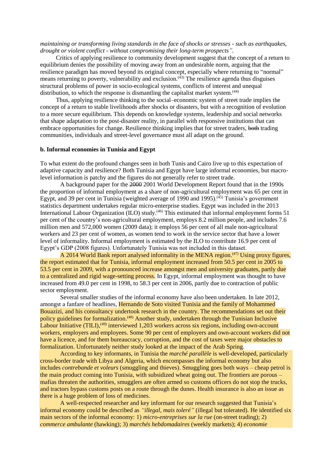*maintaining or transforming living standards in the face of shocks or stresses - such as earthquakes, drought or violent conflict - without compromising their long-term prospects".*

Critics of applying resilience to community development suggest that the concept of a return to equilibrium denies the possibility of moving away from an undesirable norm, arguing that the resilience paradigm has moved beyond its original concept, especially where returning to "normal" means returning to poverty, vulnerability and exclusion.<sup> $(43)$ </sup> The resilience agenda thus disguises structural problems of power in socio-ecological systems, conflicts of interest and unequal distribution, to which the response is dismantling the capitalist market system. $(44)$ 

Thus, applying resilience thinking to the social–economic system of street trade implies the concept of a return to stable livelihoods after shocks or disasters, but with a recognition of evolution to a more secure equilibrium. This depends on knowledge systems, leadership and social networks that shape adaptation to the post-disaster reality, in parallel with responsive institutions that can embrace opportunities for change. Resilience thinking implies that for street traders, both trading communities, individuals and street-level governance must all adapt on the ground.

## **b. Informal economies in Tunisia and Egypt**

To what extent do the profound changes seen in both Tunis and Cairo live up to this expectation of adaptive capacity and resilience? Both Tunisia and Egypt have large informal economies, but macrolevel information is patchy and the figures do not generally refer to street trade.

A background paper for the 2000 2001 World Development Report found that in the 1990s the proportion of informal employment as a share of non-agricultural employment was 65 per cent in Egypt, and 39 per cent in Tunisia (weighted average of 1990 and 1995).<sup>(45)</sup> Tunisia's government statistics department undertakes regular micro-enterprise studies. Egypt was included in the 2013 International Labour Organization (ILO) study.<sup>(46)</sup> This estimated that informal employment forms 51 per cent of the country's non-agricultural employment, employs 8.2 million people, and includes 7.6 million men and 572,000 women (2009 data); it employs 56 per cent of all male non-agricultural workers and 23 per cent of women, as women tend to work in the service sector that have a lower level of informality. Informal employment is estimated by the ILO to contribute 16.9 per cent of Egypt's GDP (2008 figures). Unfortunately Tunisia was not included in this dataset.

A 2014 World Bank report analysed informality in the MENA region.<sup>(47)</sup> Using proxy figures, the report estimated that for Tunisia, informal employment increased from 50.5 per cent in 2005 to 53.5 per cent in 2009, with a pronounced increase amongst men and university graduates, partly due to a centralized and rigid wage-setting process. In Egypt, informal employment was thought to have increased from 49.0 per cent in 1998, to 58.3 per cent in 2006, partly due to contraction of public sector employment.

Several smaller studies of the informal economy have also been undertaken. In late 2012, amongst a fanfare of headlines, Hernando de Soto visited Tunisia and the family of Mohammed Bouazizi, and his consultancy undertook research in the country. The recommendations set out their policy guidelines for formalization.<sup>(48)</sup> Another study, undertaken through the Tunisian Inclusive Labour Initiative  $(THI)$ ,<sup> $(49)$ </sup> interviewed 1,203 workers across six regions, including own-account workers, employers and employees. Some 90 per cent of employers and own-account workers did not have a licence, and for them bureaucracy, corruption, and the cost of taxes were major obstacles to formalization. Unfortunately neither study looked at the impact of the Arab Spring.

According to key informants, in Tunisia the *marché parallèle* is well-developed, particularly cross-border trade with Libya and Algeria, which encompasses the informal economy but also includes *contrebande et voleurs* (smuggling and thieves). Smuggling goes both ways – cheap petrol is the main product coming into Tunisia, with subsidized wheat going out. The frontiers are porous – mafias threaten the authorities, smugglers are often armed so customs officers do not stop the trucks, and tractors bypass customs posts on a route through the dunes. Health insurance is also an issue as there is a huge problem of loss of medicines.

A well-respected researcher and key informant for our research suggested that Tunisia's informal economy could be described as *"illegal, mais toleré"* (illegal but tolerated). He identified six main sectors of the informal economy: 1) *micro-entreprises sur la rue* (on-street trading); 2) *commerce ambulante* (hawking); 3) *marchés hebdomadaires* (weekly markets); 4) *economie*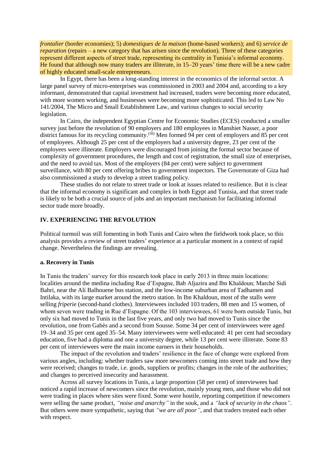*frontalier* (border economies); 5) *domestiques de la maison* (home-based workers); and 6) *service de reparation* (repairs – a new category that has arisen since the revolution). Three of these categories represent different aspects of street trade, representing its centrality in Tunisia's informal economy. He found that although now many traders are illiterate, in 15–20 years' time there will be a new cadre of highly educated small-scale entrepreneurs.

In Egypt, there has been a long-standing interest in the economics of the informal sector. A large panel survey of micro-enterprises was commissioned in 2003 and 2004 and, according to a key informant, demonstrated that capital investment had increased, traders were becoming more educated, with more women working, and businesses were becoming more sophisticated. This led to Law No 141/2004, The Micro and Small Establishment Law, and various changes to social security legislation.

In Cairo, the independent Egyptian Centre for Economic Studies (ECES) conducted a smaller survey just before the revolution of 90 employers and 180 employees in Manshiet Nasser, a poor district famous for its recycling community.<sup>(50)</sup> Men formed 94 per cent of employers and 85 per cent of employees. Although 25 per cent of the employers had a university degree, 23 per cent of the employees were illiterate. Employers were discouraged from joining the formal sector because of complexity of government procedures, the length and cost of registration, the small size of enterprises, and the need to avoid tax. Most of the employers (84 per cent) were subject to government surveillance, with 80 per cent offering bribes to government inspectors. The Governorate of Giza had also commissioned a study to develop a street trading policy.

These studies do not relate to street trade or look at issues related to resilience. But it is clear that the informal economy is significant and complex in both Egypt and Tunisia, and that street trade is likely to be both a crucial source of jobs and an important mechanism for facilitating informal sector trade more broadly.

## **IV. EXPERIENCING THE REVOLUTION**

Political turmoil was still fomenting in both Tunis and Cairo when the fieldwork took place, so this analysis provides a review of street traders' experience at a particular moment in a context of rapid change. Nevertheless the findings are revealing.

#### **a. Recovery in Tunis**

In Tunis the traders' survey for this research took place in early 2013 in three main locations: localities around the medina including Rue d'Espagne, Bab Aljazira and Ibn Khaldoun; Marché Sidi Bahri, near the Ali Balhouene bus station, and the low-income suburban area of Tadhamen and Intilaka, with its large market around the metro station. In Ibn Khaldoun, most of the stalls were selling *friperie* (second-hand clothes). Interviewees included 103 traders, 88 men and 15 women, of whom seven were trading in Rue d'Espagne. Of the 103 interviewees, 61 were born outside Tunis, but only six had moved to Tunis in the last five years, and only two had moved to Tunis since the revolution, one from Gabès and a second from Sousse. Some 34 per cent of interviewees were aged 19–34 and 35 per cent aged 35–54. Many interviewees were well-educated: 41 per cent had secondary education, five had a diploma and one a university degree, while 13 per cent were illiterate. Some 83 per cent of interviewees were the main income earners in their households.

The impact of the revolution and traders' resilience in the face of change were explored from various angles, including: whether traders saw more newcomers coming into street trade and how they were received; changes to trade, i.e. goods, suppliers or profits; changes in the role of the authorities; and changes to perceived insecurity and harassment.

Across all survey locations in Tunis, a large proportion (58 per cent) of interviewees had noticed a rapid increase of newcomers since the revolution, mainly young men, and those who did not were trading in places where sites were fixed. Some were hostile, reporting competition if newcomers were selling the same product, *"noise and anarchy"* in the souk, and a *"lack of security in the chaos"*. But others were more sympathetic, saying that *"we are all poor"*, and that traders treated each other with respect.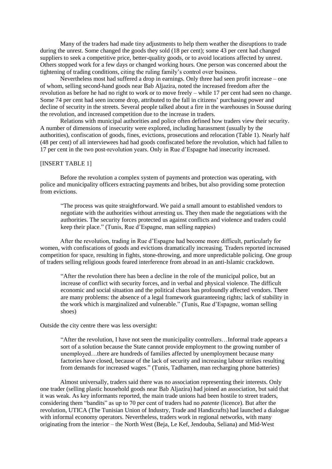Many of the traders had made tiny adjustments to help them weather the disruptions to trade during the unrest. Some changed the goods they sold (18 per cent); some 43 per cent had changed suppliers to seek a competitive price, better-quality goods, or to avoid locations affected by unrest. Others stopped work for a few days or changed working hours. One person was concerned about the tightening of trading conditions, citing the ruling family's control over business.

Nevertheless most had suffered a drop in earnings. Only three had seen profit increase – one of whom, selling second-hand goods near Bab Aljazira, noted the increased freedom after the revolution as before he had no right to work or to move freely – while 17 per cent had seen no change. Some 74 per cent had seen income drop, attributed to the fall in citizens' purchasing power and decline of security in the streets. Several people talked about a fire in the warehouses in Sousse during the revolution, and increased competition due to the increase in traders.

Relations with municipal authorities and police often defined how traders view their security. A number of dimensions of insecurity were explored, including harassment (usually by the authorities), confiscation of goods, fines, evictions, prosecutions and relocation (Table 1). Nearly half (48 per cent) of all interviewees had had goods confiscated before the revolution, which had fallen to 17 per cent in the two post-revolution years. Only in Rue d'Espagne had insecurity increased.

# [INSERT TABLE 1]

Before the revolution a complex system of payments and protection was operating, with police and municipality officers extracting payments and bribes, but also providing some protection from evictions.

"The process was quite straightforward. We paid a small amount to established vendors to negotiate with the authorities without arresting us. They then made the negotiations with the authorities. The security forces protected us against conflicts and violence and traders could keep their place." (Tunis, Rue d'Espagne, man selling nappies)

After the revolution, trading in Rue d'Espagne had become more difficult, particularly for women, with confiscations of goods and evictions dramatically increasing. Traders reported increased competition for space, resulting in fights, stone-throwing, and more unpredictable policing. One group of traders selling religious goods feared interference from abroad in an anti-Islamic crackdown.

"After the revolution there has been a decline in the role of the municipal police, but an increase of conflict with security forces, and in verbal and physical violence. The difficult economic and social situation and the political chaos has profoundly affected vendors. There are many problems: the absence of a legal framework guaranteeing rights; lack of stability in the work which is marginalized and vulnerable." (Tunis, Rue d'Espagne, woman selling shoes)

Outside the city centre there was less oversight:

"After the revolution, I have not seen the municipality controllers…Informal trade appears a sort of a solution because the State cannot provide employment to the growing number of unemployed…there are hundreds of families affected by unemployment because many factories have closed, because of the lack of security and increasing labour strikes resulting from demands for increased wages." (Tunis, Tadhamen, man recharging phone batteries)

Almost universally, traders said there was no association representing their interests. Only one trader (selling plastic household goods near Bab Aljazira) had joined an association, but said that it was weak. As key informants reported, the main trade unions had been hostile to street traders, considering them "bandits" as up to 70 per cent of traders had no *patente* (licence). But after the revolution, UTICA (The Tunisian Union of Industry, Trade and Handicrafts) had launched a dialogue with informal economy operators. Nevertheless, traders work in regional networks, with many originating from the interior – the North West (Beja, Le Kef, Jendouba, Seliana) and Mid-West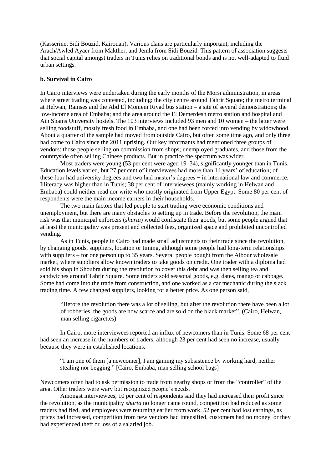(Kasserine, Sidi Bouzid, Kairouan). Various clans are particularly important, including the Arach/Awled Ayaer from Makther, and Jemla from Sidi Bouzid. This pattern of association suggests that social capital amongst traders in Tunis relies on traditional bonds and is not well-adapted to fluid urban settings.

## **b. Survival in Cairo**

In Cairo interviews were undertaken during the early months of the Morsi administration, in areas where street trading was contested, including: the city centre around Tahrir Square; the metro terminal at Helwan; Ramses and the Abd El Moniem Riyad bus station – a site of several demonstrations; the low-income area of Embaba; and the area around the El Demerdesh metro station and hospital and Ain Shams University hostels. The 103 interviews included 93 men and 10 women – the latter were selling foodstuff, mostly fresh food in Embaba, and one had been forced into vending by widowhood. About a quarter of the sample had moved from outside Cairo, but often some time ago, and only three had come to Cairo since the 2011 uprising. Our key informants had mentioned three groups of vendors: those people selling on commission from shops; unemployed graduates, and those from the countryside often selling Chinese products. But in practice the spectrum was wider.

Most traders were young (53 per cent were aged 19–34), significantly younger than in Tunis. Education levels varied, but 27 per cent of interviewees had more than 14 years' of education; of these four had university degrees and two had master's degrees − in international law and commerce. Illiteracy was higher than in Tunis; 38 per cent of interviewees (mainly working in Helwan and Embaba) could neither read nor write who mostly originated from Upper Egypt. Some 80 per cent of respondents were the main income earners in their households.

 The two main factors that led people to start trading were economic conditions and unemployment, but there are many obstacles to setting up in trade. Before the revolution, the main risk was that municipal enforcers (*shurta*) would confiscate their goods, but some people argued that at least the municipality was present and collected fees, organized space and prohibited uncontrolled vending.

 As in Tunis, people in Cairo had made small adjustments to their trade since the revolution, by changing goods, suppliers, location or timing, although some people had long-term relationships with suppliers – for one person up to 35 years. Several people bought from the Albour wholesale market, where suppliers allow known traders to take goods on credit. One trader with a diploma had sold his shop in Shoubra during the revolution to cover this debt and was then selling tea and sandwiches around Tahrir Square. Some traders sold seasonal goods, e.g. dates, mango or cabbage. Some had come into the trade from construction, and one worked as a car mechanic during the slack trading time. A few changed suppliers, looking for a better price. As one person said,

"Before the revolution there was a lot of selling, but after the revolution there have been a lot of robberies, the goods are now scarce and are sold on the black market". (Cairo, Helwan, man selling cigarettes)

In Cairo, more interviewees reported an influx of newcomers than in Tunis. Some 68 per cent had seen an increase in the numbers of traders, although 23 per cent had seen no increase, usually because they were in established locations.

"I am one of them [a newcomer], I am gaining my subsistence by working hard, neither stealing nor begging." [Cairo, Embaba, man selling school bags]

Newcomers often had to ask permission to trade from nearby shops or from the "controller" of the area. Other traders were wary but recognized people's needs.

Amongst interviewees, 10 per cent of respondents said they had increased their profit since the revolution, as the municipality *shurta* no longer came round, competition had reduced as some traders had fled, and employees were returning earlier from work. 52 per cent had lost earnings, as prices had increased, competition from new vendors had intensified, customers had no money, or they had experienced theft or loss of a salaried job.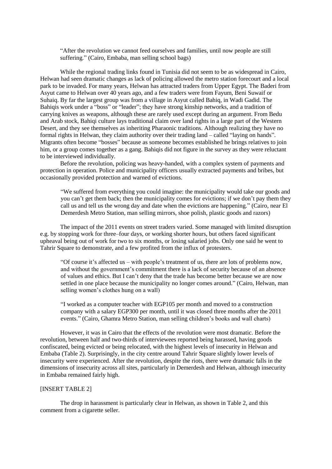"After the revolution we cannot feed ourselves and families, until now people are still suffering." (Cairo, Embaba, man selling school bags)

While the regional trading links found in Tunisia did not seem to be as widespread in Cairo, Helwan had seen dramatic changes as lack of policing allowed the metro station forecourt and a local park to be invaded. For many years, Helwan has attracted traders from Upper Egypt. The Baderi from Asyut came to Helwan over 40 years ago, and a few traders were from Fayum, Beni Suwaif or Suhaiq. By far the largest group was from a village in Asyut called Bahiq, in Wadi Gadid. The Bahiqis work under a "boss" or "leader"; they have strong kinship networks, and a tradition of carrying knives as weapons, although these are rarely used except during an argument. From Bedu and Arab stock, Bahiqi culture lays traditional claim over land rights in a large part of the Western Desert, and they see themselves as inheriting Pharaonic traditions. Although realizing they have no formal rights in Helwan, they claim authority over their trading land – called "laying on hands". Migrants often become "bosses" because as someone becomes established he brings relatives to join him, or a group comes together as a gang. Bahiqis did not figure in the survey as they were reluctant to be interviewed individually.

Before the revolution, policing was heavy-handed, with a complex system of payments and protection in operation. Police and municipality officers usually extracted payments and bribes, but occasionally provided protection and warned of evictions.

"We suffered from everything you could imagine: the municipality would take our goods and you can't get them back; then the municipality comes for evictions; if we don't pay them they call us and tell us the wrong day and date when the evictions are happening." (Cairo, near El Demerdesh Metro Station, man selling mirrors, shoe polish, plastic goods and razors)

The impact of the 2011 events on street traders varied. Some managed with limited disruption e.g. by stopping work for three–four days, or working shorter hours, but others faced significant upheaval being out of work for two to six months, or losing salaried jobs. Only one said he went to Tahrir Square to demonstrate, and a few profited from the influx of protesters.

"Of course it's affected us – with people's treatment of us, there are lots of problems now, and without the government's commitment there is a lack of security because of an absence of values and ethics. But I can't deny that the trade has become better because we are now settled in one place because the municipality no longer comes around." (Cairo, Helwan, man selling women's clothes hung on a wall)

"I worked as a computer teacher with EGP105 per month and moved to a construction company with a salary EGP300 per month, until it was closed three months after the 2011 events." (Cairo, Ghamra Metro Station, man selling children's books and wall charts)

However, it was in Cairo that the effects of the revolution were most dramatic. Before the revolution, between half and two-thirds of interviewees reported being harassed, having goods confiscated, being evicted or being relocated, with the highest levels of insecurity in Helwan and Embaba (Table 2). Surprisingly, in the city centre around Tahrir Square slightly lower levels of insecurity were experienced. After the revolution, despite the riots, there were dramatic falls in the dimensions of insecurity across all sites, particularly in Demerdesh and Helwan, although insecurity in Embaba remained fairly high.

#### [INSERT TABLE 2]

The drop in harassment is particularly clear in Helwan, as shown in Table 2, and this comment from a cigarette seller.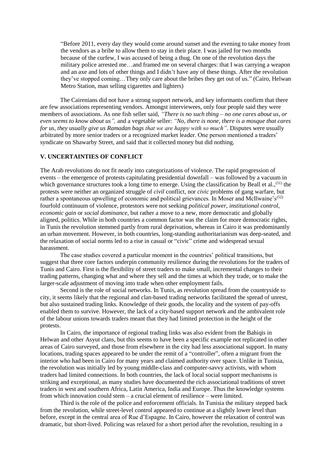"Before 2011, every day they would come around sunset and the evening to take money from the vendors as a bribe to allow them to stay in their place. I was jailed for two months because of the curfew, I was accused of being a thug. On one of the revolution days the military police arrested me…and framed me on several charges: that I was carrying a weapon and an axe and lots of other things and I didn't have any of these things. After the revolution they've stopped coming…They only care about the bribes they get out of us." (Cairo, Helwan Metro Station, man selling cigarettes and lighters)

The Cairenians did not have a strong support network, and key informants confirm that there are few associations representing vendors. Amongst interviewees, only four people said they were members of associations. As one fish seller said, *"There is no such thing – no one cares about us, or even seems to know about us",* and a vegetable seller: *"No, there is none, there is a mosque that cares for us, they usually give us Ramadan bags that we are happy with so much"*. Disputes were usually arbitrated by more senior traders or a recognized market leader. One person mentioned a traders' syndicate on Shawarby Street, and said that it collected money but did nothing.

# **V. UNCERTAINTIES OF CONFLICT**

The Arab revolutions do not fit neatly into categorizations of violence. The rapid progression of events – the emergence of protests capitulating presidential downfall – was followed by a vacuum in which governance structures took a long time to emerge. Using the classification by Beall et al.,<sup>(51)</sup> the protests were neither an organized struggle of *civil* conflict, nor *civic* problems of gang warfare, but rather a spontaneous upwelling of economic and political grievances. In Moser and McIlwaine's<sup>(52)</sup> fourfold continuum of violence, protestors were not seeking *political power*, *institutional control, economic gain* or *social dominance,* but rather a move to a new, more democratic and globally aligned, politics. While in both countries a common factor was the claim for more democratic rights, in Tunis the revolution stemmed partly from rural deprivation, whereas in Cairo it was predominantly an urban movement. However, in both countries, long-standing authoritarianism was deep-seated, and the relaxation of social norms led to a rise in casual or "civic" crime and widespread sexual harassment.

 The case studies covered a particular moment in the countries' political transitions, but suggest that three core factors underpin community resilience during the revolutions for the traders of Tunis and Cairo. First is the flexibility of street traders to make small, incremental changes to their trading patterns, changing what and where they sell and the times at which they trade, or to make the larger-scale adjustment of moving into trade when other employment fails.

 Second is the role of social networks. In Tunis, as revolution spread from the countryside to city, it seems likely that the regional and clan-based trading networks facilitated the spread of unrest, but also sustained trading links. Knowledge of their goods, the locality and the system of pay-offs enabled them to survive. However, the lack of a city-based support network and the ambivalent role of the labour unions towards traders meant that they had limited protection in the height of the protests.

 In Cairo, the importance of regional trading links was also evident from the Bahiqis in Helwan and other Asyut clans, but this seems to have been a specific example not replicated in other areas of Cairo surveyed, and those from elsewhere in the city had less associational support. In many locations, trading spaces appeared to be under the remit of a "controller", often a migrant from the interior who had been in Cairo for many years and claimed authority over space. Unlike in Tunisia, the revolution was initially led by young middle-class and computer-savvy activists, with whom traders had limited connections. In both countries, the lack of local social support mechanisms is striking and exceptional, as many studies have documented the rich associational traditions of street traders in west and southern Africa, Latin America, India and Europe. Thus the knowledge systems from which innovation could stem – a crucial element of resilience – were limited.

 Third is the role of the police and enforcement officials. In Tunisia the military stepped back from the revolution, while street-level control appeared to continue at a slightly lower level than before, except in the central area of Rue d'Espagne. In Cairo, however the relaxation of control was dramatic, but short-lived. Policing was relaxed for a short period after the revolution, resulting in a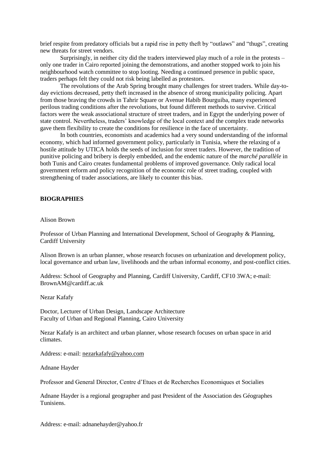brief respite from predatory officials but a rapid rise in petty theft by "outlaws" and "thugs", creating new threats for street vendors.

 Surprisingly, in neither city did the traders interviewed play much of a role in the protests – only one trader in Cairo reported joining the demonstrations, and another stopped work to join his neighbourhood watch committee to stop looting. Needing a continued presence in public space, traders perhaps felt they could not risk being labelled as protestors.

The revolutions of the Arab Spring brought many challenges for street traders. While day-today evictions decreased, petty theft increased in the absence of strong municipality policing. Apart from those braving the crowds in Tahrir Square or Avenue Habib Bourguiba, many experienced perilous trading conditions after the revolutions, but found different methods to survive. Critical factors were the weak associational structure of street traders, and in Egypt the underlying power of state control. Nevertheless, traders' knowledge of the local context and the complex trade networks gave them flexibility to create the conditions for resilience in the face of uncertainty.

In both countries, economists and academics had a very sound understanding of the informal economy, which had informed government policy, particularly in Tunisia, where the relaxing of a hostile attitude by UTICA holds the seeds of inclusion for street traders. However, the tradition of punitive policing and bribery is deeply embedded, and the endemic nature of the *marché parallèle* in both Tunis and Cairo creates fundamental problems of improved governance. Only radical local government reform and policy recognition of the economic role of street trading, coupled with strengthening of trader associations, are likely to counter this bias.

## **BIOGRAPHIES**

Alison Brown

Professor of Urban Planning and International Development, School of Geography & Planning, Cardiff University

Alison Brown is an urban planner, whose research focuses on urbanization and development policy, local governance and urban law, livelihoods and the urban informal economy, and post-conflict cities.

Address: School of Geography and Planning, Cardiff University, Cardiff, CF10 3WA; e-mail: BrownAM@cardiff.ac.uk

Nezar Kafafy

Doctor, Lecturer of Urban Design, Landscape Architecture Faculty of Urban and Regional Planning, Cairo University

Nezar Kafafy is an architect and urban planner, whose research focuses on urban space in arid climates.

Address: e-mail: [nezarkafafy@yahoo.com](mailto:nezarkafafy@yahoo.com) 

Adnane Hayder

Professor and General Director, Centre d'Etues et de Recherches Economiques et Socialies

Adnane Hayder is a regional geographer and past President of the Association des Géographes Tunisiens.

Address: e-mail: adnanehayder@yahoo.fr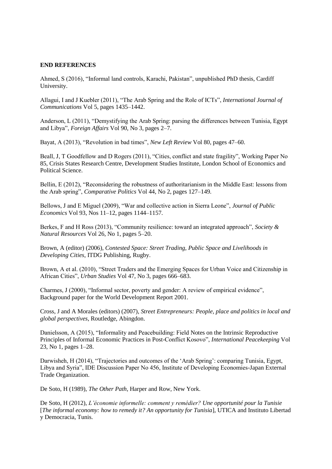## **END REFERENCES**

Ahmed, S (2016), "Informal land controls, Karachi, Pakistan", unpublished PhD thesis, Cardiff University.

Allagui, I and J Kuebler (2011), "The Arab Spring and the Role of ICTs", *International Journal of Communications* Vol 5, pages 1435–1442.

Anderson, L (2011), "Demystifying the Arab Spring: parsing the differences between Tunisia, Egypt and Libya", *Foreign Affairs* Vol 90, No 3, pages 2–7.

Bayat, A (2013), "Revolution in bad times", *New Left Review* Vol 80, pages 47–60.

Beall, J, T Goodfellow and D Rogers (2011), "Cities, conflict and state fragility", Working Paper No 85, Crisis States Research Centre, Development Studies Institute, London School of Economics and Political Science.

Bellin, E (2012), "Reconsidering the robustness of authoritarianism in the Middle East: lessons from the Arab spring", *Comparative Politics* Vol 44, No 2, pages 127–149.

Bellows, J and E Miguel (2009), "War and collective action in Sierra Leone", *Journal of Public Economics* Vol 93, Nos 11–12, pages 1144–1157.

Berkes, F and H Ross (2013), "Community resilience: toward an integrated approach", *Society & Natural Resources* Vol 26, No 1, pages 5–20.

Brown, A (editor) (2006), *Contested Space: Street Trading, Public Space and Livelihoods in Developing Cities*, ITDG Publishing, Rugby.

Brown, A et al. (2010), "Street Traders and the Emerging Spaces for Urban Voice and Citizenship in African Cities", *Urban Studies* Vol 47, No 3, pages 666–683.

Charmes, J (2000), "Informal sector, poverty and gender: A review of empirical evidence", Background paper for the World Development Report 2001.

Cross, J and A Morales (editors) (2007), *Street Entrepreneurs: People, place and politics in local and global perspectives*, Routledge, Abingdon.

Danielsson, A (2015), "Informality and Peacebuilding: Field Notes on the Intrinsic Reproductive Principles of Informal Economic Practices in Post-Conflict Kosovo", *International Peacekeeping* Vol 23, No 1, pages 1–28.

Darwisheh, H (2014), "Trajectories and outcomes of the 'Arab Spring': comparing Tunisia, Egypt, Libya and Syria", IDE Discussion Paper No 456, Institute of Developing Economies-Japan External Trade Organization.

De Soto, H (1989), *The Other Path*, Harper and Row, New York.

De Soto, H (2012), *L'économie informelle: comment y remédier? Une opportunité pour la Tunisie*  [*The informal economy: how to remedy it? An opportunity for Tunisia*], UTICA and Instituto Libertad y Democracia, Tunis.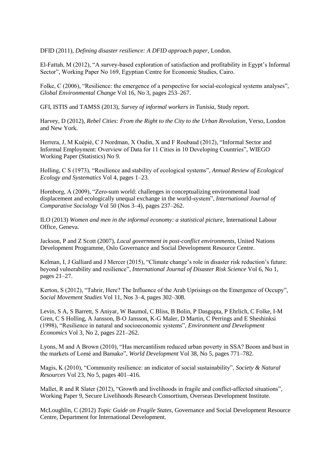DFID (2011), *Defining disaster resilience: A DFID approach paper*, London.

El-Fattah, M (2012), "A survey-based exploration of satisfaction and profitability in Egypt's Informal Sector", Working Paper No 169, Egyptian Centre for Economic Studies, Cairo.

Folke, C (2006), "Resilience: the emergence of a perspective for social-ecological systems analyses", *Global Environmental Change* Vol 16, No 3, pages 253–267.

GFI, ISTIS and TAMSS (2013), *Survey of informal workers in Tunisia*, Study report.

Harvey, D (2012), *Rebel Cities: From the Right to the City to the Urban Revolution*, Verso, London and New York.

Herrera, J, M Kuépié, C J Nordman, X Oudin, X and F Roubaud (2012), "Informal Sector and Informal Employment: Overview of Data for 11 Cities in 10 Developing Countries", WIEGO Working Paper (Statistics) No 9.

Holling, C S (1973), "Resilience and stability of ecological systems", *Annual Review of Ecological Ecology and Systematics* Vol 4, pages 1–23.

Hornborg, A (2009), "Zero-sum world: challenges in conceptualizing environmental load displacement and ecologically unequal exchange in the world-system", *International Journal of Comparative Sociology* Vol 50 (Nos 3–4), pages 237–262.

ILO (2013) *Women and men in the informal economy: a statistical picture*, International Labour Office, Geneva.

Jackson, P and Z Scott (2007), *Local government in post-conflict environments*, United Nations Development Programme, Oslo Governance and Social Development Resource Centre.

Kelman, I, J Galliard and J Mercer (2015), "Climate change's role in disaster risk reduction's future: beyond vulnerability and resilience", *International Journal of Disaster Risk Science* Vol 6, No 1, pages 21–27.

Kerton, S (2012), "Tahrir, Here? The Influence of the Arab Uprisings on the Emergence of Occupy", *Social Movement Studies* Vol 11, Nos 3–4, pages 302–308.

Levin, S A, S Barrett, S Aniyar, W Baumol, C Bliss, B Bolin, P Dasgupta, P Ehrlich, C Folke, I-M Gren, C S Holling, A Jansson, B-O Jansson, K-G Maler, D Martin, C Perrings and E Sheshinksi (1998), "Resilience in natural and socioeconomic systems", *Environment and Development Economics* Vol 3, No 2, pages 221–262.

Lyons, M and A Brown (2010), "Has mercantilism reduced urban poverty in SSA? Boom and bust in the markets of Lomé and Bamako", *World Development* Vol 38, No 5, pages 771–782.

Magis, K (2010), "Community resilience: an indicator of social sustainability", *Society & Natural Resources* Vol 23, No 5, pages 401–416.

Mallet, R and R Slater (2012), "Growth and livelihoods in fragile and conflict-affected situations", Working Paper 9, Secure Livelihoods Research Consortium, Overseas Development Institute.

McLoughlin, C (2012) *Topic Guide on Fragile States*, Governance and Social Development Resource Centre, Department for International Development.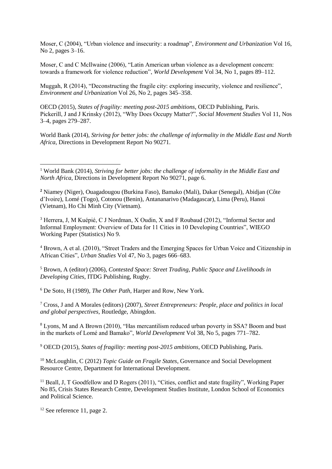Moser, C (2004), "Urban violence and insecurity: a roadmap", *Environment and Urbanization* Vol 16, No 2, pages 3–16.

Moser, C and C McIlwaine (2006), "Latin American urban violence as a development concern: towards a framework for violence reduction", *World Development* Vol 34, No 1, pages 89–112.

Muggah, R (2014), "Deconstructing the fragile city: exploring insecurity, violence and resilience", *Environment and Urbanization* Vol 26, No 2, pages 345–358.

OECD (2015), *States of fragility: meeting post-2015 ambitions*, OECD Publishing, Paris. Pickerill, J and J Krinsky (2012), "Why Does Occupy Matter?", *Social Movement Studies* Vol 11, Nos 3–4, pages 279–287.

World Bank (2014), *Striving for better jobs: the challenge of informality in the Middle East and North Africa*, Directions in Development Report No 90271.

<sup>3</sup> Herrera, J. M Kuépié, C J Nordman, X Oudin, X and F Roubaud (2012), "Informal Sector and Informal Employment: Overview of Data for 11 Cities in 10 Developing Countries", WIEGO Working Paper (Statistics) No 9.

<sup>4</sup> Brown, A et al. (2010), "Street Traders and the Emerging Spaces for Urban Voice and Citizenship in African Cities", *Urban Studies* Vol 47, No 3, pages 666–683.

5 Brown, A (editor) (2006), *Contested Space: Street Trading, Public Space and Livelihoods in Developing Cities*, ITDG Publishing, Rugby.

6 De Soto, H (1989), *The Other Path*, Harper and Row, New York.

7 Cross, J and A Morales (editors) (2007), *Street Entrepreneurs: People, place and politics in local and global perspectives*, Routledge, Abingdon.

<sup>8</sup> Lyons, M and A Brown (2010), "Has mercantilism reduced urban poverty in SSA? Boom and bust in the markets of Lomé and Bamako", *World Development* Vol 38, No 5, pages 771–782.

9 OECD (2015), *States of fragility: meeting post-2015 ambitions*, OECD Publishing, Paris.

<sup>10</sup> McLoughlin, C (2012) *Topic Guide on Fragile States*, Governance and Social Development Resource Centre, Department for International Development.

<sup>11</sup> Beall, J, T Goodfellow and D Rogers (2011), "Cities, conflict and state fragility", Working Paper No 85, Crisis States Research Centre, Development Studies Institute, London School of Economics and Political Science.

<sup>12</sup> See reference 11, page 2.

 $\overline{a}$ 

<sup>&</sup>lt;sup>1</sup> World Bank (2014), *Striving for better jobs: the challenge of informality in the Middle East and North Africa*, Directions in Development Report No 90271, page 6.

**<sup>2</sup>** Niamey (Niger), Ouagadougou (Burkina Faso), Bamako (Mali), Dakar (Senegal), Abidjan [\(Côte](http://abidjan.net/)  [d'Ivoire](http://abidjan.net/)), Lomé (Togo), Cotonou (Benin), Antananarivo (Madagascar), Lima (Peru), Hanoi (Vietnam), Ho Chi Minh City (Vietnam).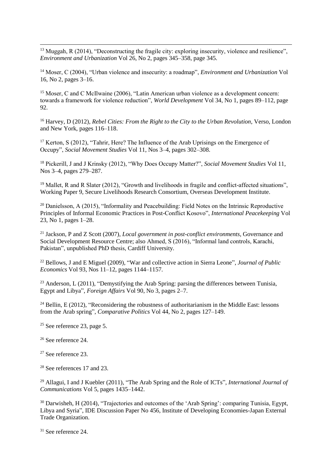<sup>13</sup> Muggah, R (2014), "Deconstructing the fragile city: exploring insecurity, violence and resilience", *Environment and Urbanization* Vol 26, No 2, pages 345–358, page 345.

<sup>14</sup> Moser, C (2004), "Urban violence and insecurity: a roadmap", *Environment and Urbanization* Vol 16, No 2, pages 3–16.

<sup>15</sup> Moser. C and C McIlwaine (2006), "Latin American urban violence as a development concern: towards a framework for violence reduction", *World Development* Vol 34, No 1, pages 89–112, page 92.

<sup>16</sup> Harvey, D (2012), *Rebel Cities: From the Right to the City to the Urban Revolution*, Verso, London and New York, pages 116–118.

<sup>17</sup> Kerton, S (2012), "Tahrir, Here? The Influence of the Arab Uprisings on the Emergence of Occupy", *Social Movement Studies* Vol 11, Nos 3–4, pages 302–308.

<sup>18</sup> Pickerill, J and J Krinsky (2012), "Why Does Occupy Matter?", *Social Movement Studies* Vol 11, Nos 3–4, pages 279–287.

<sup>19</sup> Mallet, R and R Slater (2012), "Growth and livelihoods in fragile and conflict-affected situations", Working Paper 9, Secure Livelihoods Research Consortium, Overseas Development Institute.

<sup>20</sup> Danielsson, A (2015), "Informality and Peacebuilding: Field Notes on the Intrinsic Reproductive Principles of Informal Economic Practices in Post-Conflict Kosovo", *International Peacekeeping* Vol 23, No 1, pages 1–28.

<sup>21</sup> Jackson, P and Z Scott (2007), *Local government in post-conflict environments*, Governance and Social Development Resource Centre; also Ahmed, S (2016), "Informal land controls, Karachi, Pakistan", unpublished PhD thesis, Cardiff University.

<sup>22</sup> Bellows, J and E Miguel (2009), "War and collective action in Sierra Leone", *Journal of Public Economics* Vol 93, Nos 11–12, pages 1144–1157.

<sup>23</sup> Anderson, L (2011), "Demystifying the Arab Spring: parsing the differences between Tunisia, Egypt and Libya", *Foreign Affairs* Vol 90, No 3, pages 2–7.

<sup>24</sup> Bellin, E (2012), "Reconsidering the robustness of authoritarianism in the Middle East: lessons from the Arab spring", *Comparative Politics* Vol 44, No 2, pages 127–149.

 $25$  See reference 23, page 5.

<sup>26</sup> See reference 24.

 $\overline{a}$ 

<sup>27</sup> See reference 23.

<sup>28</sup> See references 17 and 23.

<sup>29</sup> Allagui, I and J Kuebler (2011), "The Arab Spring and the Role of ICTs", *International Journal of Communications* Vol 5, pages 1435–1442.

<sup>30</sup> Darwisheh, H (2014), "Trajectories and outcomes of the 'Arab Spring': comparing Tunisia, Egypt, Libya and Syria", IDE Discussion Paper No 456, Institute of Developing Economies-Japan External Trade Organization.

31 See reference 24.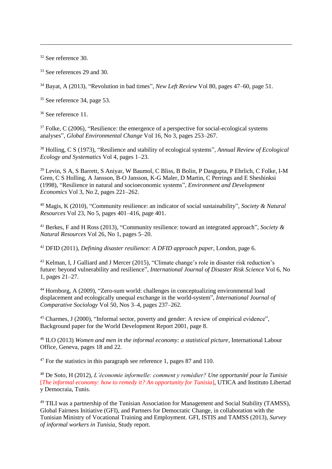<sup>32</sup> See reference 30.

 $\overline{a}$ 

<sup>33</sup> See references 29 and 30.

<sup>34</sup> Bayat, A (2013), "Revolution in bad times", *New Left Review* Vol 80, pages 47–60, page 51.

<sup>35</sup> See reference 34, page 53.

<sup>36</sup> See reference 11.

 $37$  Folke, C (2006), "Resilience: the emergence of a perspective for social-ecological systems analyses", *Global Environmental Change* Vol 16, No 3, pages 253–267.

<sup>38</sup> Holling, C S (1973), "Resilience and stability of ecological systems", *Annual Review of Ecological Ecology and Systematics* Vol 4, pages 1–23.

<sup>39</sup> Levin, S A, S Barrett, S Aniyar, W Baumol, C Bliss, B Bolin, P Dasgupta, P Ehrlich, C Folke, I-M Gren, C S Holling, A Jansson, B-O Jansson, K-G Maler, D Martin, C Perrings and E Sheshinksi (1998), "Resilience in natural and socioeconomic systems", *Environment and Development Economics* Vol 3, No 2, pages 221–262.

<sup>40</sup> Magis, K (2010), "Community resilience: an indicator of social sustainability", *Society & Natural Resources* Vol 23, No 5, pages 401–416, page 401.

<sup>41</sup> Berkes, F and H Ross (2013), "Community resilience: toward an integrated approach", *Society & Natural Resources* Vol 26, No 1, pages 5–20.

<sup>42</sup> DFID (2011), *Defining disaster resilience: A DFID approach paper*, London, page 6.

<sup>43</sup> Kelman, I, J Galliard and J Mercer (2015), "Climate change's role in disaster risk reduction's future: beyond vulnerability and resilience", *International Journal of Disaster Risk Science* Vol 6, No 1, pages 21–27.

<sup>44</sup> Hornborg, A (2009), "Zero-sum world: challenges in conceptualizing environmental load displacement and ecologically unequal exchange in the world-system", *International Journal of Comparative Sociology* Vol 50, Nos 3–4, pages 237–262.

<sup>45</sup> Charmes, J (2000), "Informal sector, poverty and gender: A review of empirical evidence", Background paper for the World Development Report 2001, page 8.

<sup>46</sup> ILO (2013) *Women and men in the informal economy: a statistical picture*, International Labour Office, Geneva, pages 18 and 22.

 $47$  For the statistics in this paragraph see reference 1, pages 87 and 110.

<sup>48</sup> De Soto, H (2012), *L'économie informelle: comment y remédier? Une opportunité pour la Tunisie*  [*The informal economy: how to remedy it? An opportunity for Tunisia*], UTICA and Instituto Libertad y Democraia, Tunis.

<sup>49</sup> TILI was a partnership of the Tunisian Association for Management and Social Stability (TAMSS), Global Fairness Initiative (GFI), and Partners for Democratic Change, in collaboration with the Tunisian Ministry of Vocational Training and Employment. GFI, ISTIS and TAMSS (2013), *Survey of informal workers in Tunisia*, Study report.